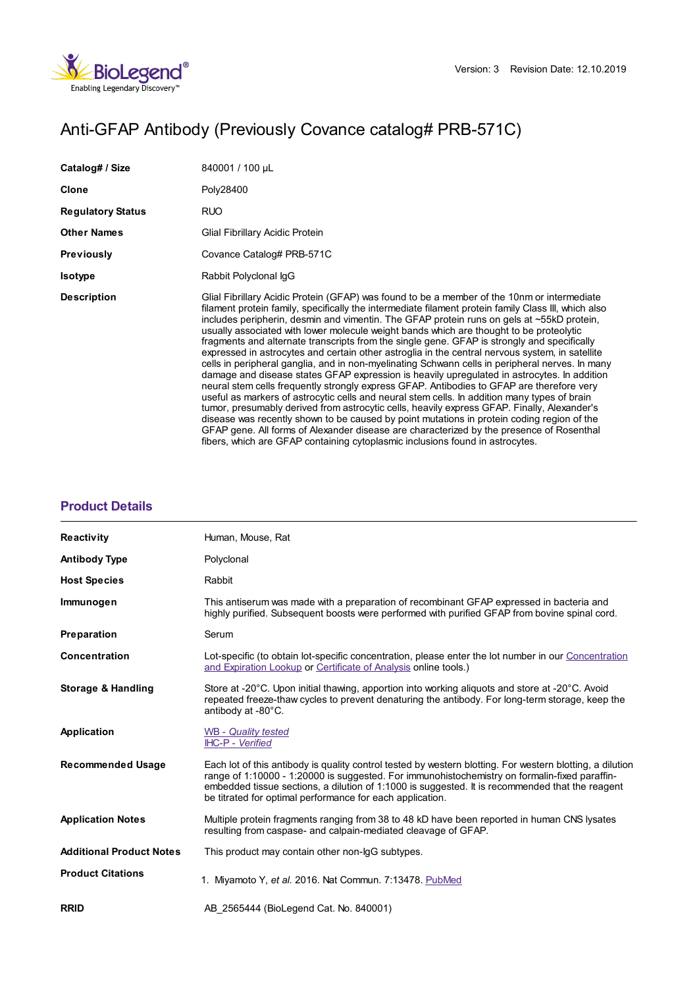

# Anti-GFAP Antibody (Previously Covance catalog# PRB-571C)

| Catalog# / Size          | 840001 / 100 µL                                                                                                                                                                                                                                                                                                                                                                                                                                                                                                                                                                                                                                                                                                                                                                                                                                                                                                                                                                                                                                                                                                                                                                                                                                                                                                                                                        |
|--------------------------|------------------------------------------------------------------------------------------------------------------------------------------------------------------------------------------------------------------------------------------------------------------------------------------------------------------------------------------------------------------------------------------------------------------------------------------------------------------------------------------------------------------------------------------------------------------------------------------------------------------------------------------------------------------------------------------------------------------------------------------------------------------------------------------------------------------------------------------------------------------------------------------------------------------------------------------------------------------------------------------------------------------------------------------------------------------------------------------------------------------------------------------------------------------------------------------------------------------------------------------------------------------------------------------------------------------------------------------------------------------------|
| <b>Clone</b>             | Poly28400                                                                                                                                                                                                                                                                                                                                                                                                                                                                                                                                                                                                                                                                                                                                                                                                                                                                                                                                                                                                                                                                                                                                                                                                                                                                                                                                                              |
| <b>Regulatory Status</b> | RUO                                                                                                                                                                                                                                                                                                                                                                                                                                                                                                                                                                                                                                                                                                                                                                                                                                                                                                                                                                                                                                                                                                                                                                                                                                                                                                                                                                    |
| <b>Other Names</b>       | Glial Fibrillary Acidic Protein                                                                                                                                                                                                                                                                                                                                                                                                                                                                                                                                                                                                                                                                                                                                                                                                                                                                                                                                                                                                                                                                                                                                                                                                                                                                                                                                        |
| <b>Previously</b>        | Covance Catalog# PRB-571C                                                                                                                                                                                                                                                                                                                                                                                                                                                                                                                                                                                                                                                                                                                                                                                                                                                                                                                                                                                                                                                                                                                                                                                                                                                                                                                                              |
| <b>Isotype</b>           | Rabbit Polyclonal IqG                                                                                                                                                                                                                                                                                                                                                                                                                                                                                                                                                                                                                                                                                                                                                                                                                                                                                                                                                                                                                                                                                                                                                                                                                                                                                                                                                  |
| <b>Description</b>       | Glial Fibrillary Acidic Protein (GFAP) was found to be a member of the 10nm or intermediate<br>filament protein family, specifically the intermediate filament protein family Class III, which also<br>includes peripherin, desmin and vimentin. The GFAP protein runs on gels at ~55kD protein,<br>usually associated with lower molecule weight bands which are thought to be proteolytic<br>fragments and alternate transcripts from the single gene. GFAP is strongly and specifically<br>expressed in astrocytes and certain other astroglia in the central nervous system, in satellite<br>cells in peripheral ganglia, and in non-myelinating Schwann cells in peripheral nerves. In many<br>damage and disease states GFAP expression is heavily upregulated in astrocytes. In addition<br>neural stem cells frequently strongly express GFAP. Antibodies to GFAP are therefore very<br>useful as markers of astrocytic cells and neural stem cells. In addition many types of brain<br>tumor, presumably derived from astrocytic cells, heavily express GFAP. Finally, Alexander's<br>disease was recently shown to be caused by point mutations in protein coding region of the<br>GFAP gene. All forms of Alexander disease are characterized by the presence of Rosenthal<br>fibers, which are GFAP containing cytoplasmic inclusions found in astrocytes. |

## **[Product](https://www.biolegend.com/fr-ch/products/anti-gfap-antibody-11056?pdf=true&displayInline=true&leftRightMargin=15&topBottomMargin=15&filename=Anti-GFAP Antibody.pdf#productDetails) Details**

| <b>Reactivity</b>               | Human, Mouse, Rat                                                                                                                                                                                                                                                                                                                                                          |
|---------------------------------|----------------------------------------------------------------------------------------------------------------------------------------------------------------------------------------------------------------------------------------------------------------------------------------------------------------------------------------------------------------------------|
| <b>Antibody Type</b>            | Polyclonal                                                                                                                                                                                                                                                                                                                                                                 |
| <b>Host Species</b>             | Rabbit                                                                                                                                                                                                                                                                                                                                                                     |
| Immunogen                       | This antiserum was made with a preparation of recombinant GFAP expressed in bacteria and<br>highly purified. Subsequent boosts were performed with purified GFAP from bovine spinal cord.                                                                                                                                                                                  |
| Preparation                     | Serum                                                                                                                                                                                                                                                                                                                                                                      |
| Concentration                   | Lot-specific (to obtain lot-specific concentration, please enter the lot number in our Concentration<br>and Expiration Lookup or Certificate of Analysis online tools.)                                                                                                                                                                                                    |
| <b>Storage &amp; Handling</b>   | Store at -20°C. Upon initial thawing, apportion into working aliquots and store at -20°C. Avoid<br>repeated freeze-thaw cycles to prevent denaturing the antibody. For long-term storage, keep the<br>antibody at -80°C.                                                                                                                                                   |
| <b>Application</b>              | <b>WB</b> - Quality tested<br>IHC-P - Verified                                                                                                                                                                                                                                                                                                                             |
| <b>Recommended Usage</b>        | Each lot of this antibody is quality control tested by western blotting. For western blotting, a dilution<br>range of 1:10000 - 1:20000 is suggested. For immunohistochemistry on formalin-fixed paraffin-<br>embedded tissue sections, a dilution of 1:1000 is suggested. It is recommended that the reagent<br>be titrated for optimal performance for each application. |
| <b>Application Notes</b>        | Multiple protein fragments ranging from 38 to 48 kD have been reported in human CNS lysates<br>resulting from caspase- and calpain-mediated cleavage of GFAP.                                                                                                                                                                                                              |
| <b>Additional Product Notes</b> | This product may contain other non-IgG subtypes.                                                                                                                                                                                                                                                                                                                           |
| <b>Product Citations</b>        | 1. Miyamoto Y, et al. 2016. Nat Commun. 7:13478. PubMed                                                                                                                                                                                                                                                                                                                    |
| <b>RRID</b>                     | AB 2565444 (BioLegend Cat. No. 840001)                                                                                                                                                                                                                                                                                                                                     |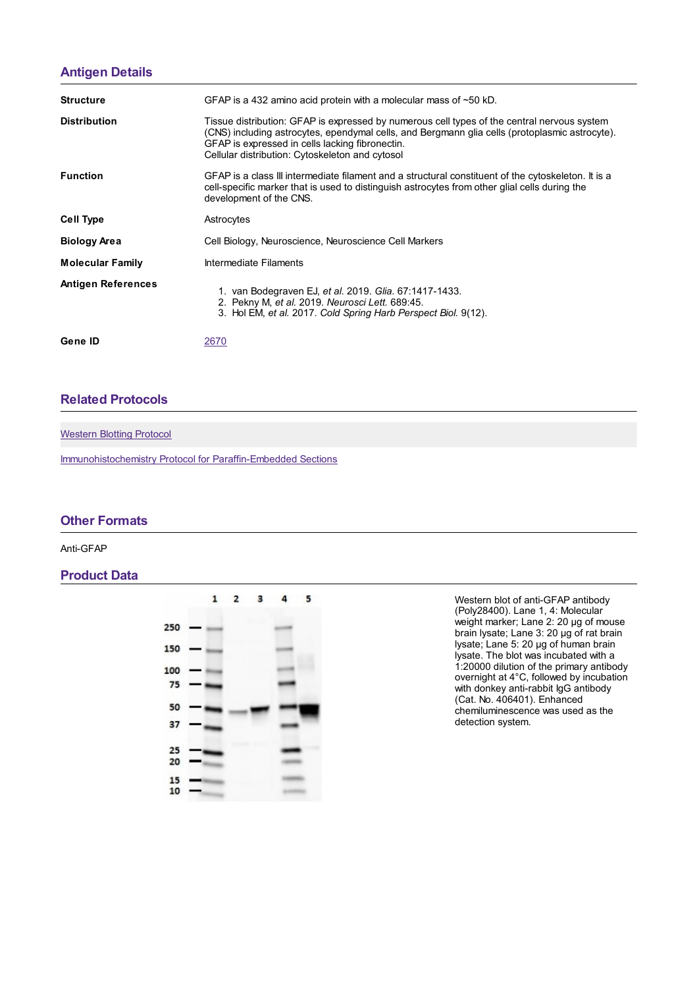# **[Antigen](https://www.biolegend.com/fr-ch/products/anti-gfap-antibody-11056?pdf=true&displayInline=true&leftRightMargin=15&topBottomMargin=15&filename=Anti-GFAP Antibody.pdf#antigenDetails) Details**

| <b>Structure</b>          | GFAP is a 432 amino acid protein with a molecular mass of $\sim$ 50 kD.                                                                                                                                                                                                                             |
|---------------------------|-----------------------------------------------------------------------------------------------------------------------------------------------------------------------------------------------------------------------------------------------------------------------------------------------------|
| <b>Distribution</b>       | Tissue distribution: GFAP is expressed by numerous cell types of the central nervous system<br>(CNS) including astrocytes, ependymal cells, and Bergmann glia cells (protoplasmic astrocyte).<br>GFAP is expressed in cells lacking fibronectin.<br>Cellular distribution: Cytoskeleton and cytosol |
| <b>Function</b>           | GFAP is a class III intermediate filament and a structural constituent of the cytoskeleton. It is a<br>cell-specific marker that is used to distinguish astrocytes from other glial cells during the<br>development of the CNS.                                                                     |
| <b>Cell Type</b>          | Astrocytes                                                                                                                                                                                                                                                                                          |
| <b>Biology Area</b>       | Cell Biology, Neuroscience, Neuroscience Cell Markers                                                                                                                                                                                                                                               |
| <b>Molecular Family</b>   | Intermediate Filaments                                                                                                                                                                                                                                                                              |
| <b>Antigen References</b> | 1. van Bodegraven EJ, et al. 2019. Glia. 67:1417-1433.<br>2. Pekny M, et al. 2019. Neurosci Lett. 689:45.<br>3. Hol EM, et al. 2017. Cold Spring Harb Perspect Biol. 9(12).                                                                                                                         |
| Gene ID                   | 2670                                                                                                                                                                                                                                                                                                |

## **Related [Protocols](https://www.biolegend.com/fr-ch/products/anti-gfap-antibody-11056?pdf=true&displayInline=true&leftRightMargin=15&topBottomMargin=15&filename=Anti-GFAP Antibody.pdf#productRelatedProtocols)**

[Western](https://www.biolegend.com/protocols/western-blotting-protocol/4269/) Blotting Protocol

[Immunohistochemistry](https://www.biolegend.com/protocols/immunohistochemistry-protocol-for-paraffin-embedded-sections/4256/) Protocol for Paraffin-Embedded Sections

#### **Other [Formats](https://www.biolegend.com/fr-ch/products/anti-gfap-antibody-11056?pdf=true&displayInline=true&leftRightMargin=15&topBottomMargin=15&filename=Anti-GFAP Antibody.pdf#productOtherFormats)**

Anti-GFAP

### **Product Data**



Western blot of anti-GFAP antibody (Poly28400). Lane 1, 4: Molecular weight marker; Lane 2: 20 µg of mouse brain lysate; Lane 3: 20 µg of rat brain lysate; Lane 5: 20 µg of human brain lysate. The blot was incubated with a 1:20000 dilution of the primary antibody overnight at 4°C, followed by incubation with donkey anti-rabbit IgG antibody (Cat. No. 406401). Enhanced chemiluminescence was used as the detection system.